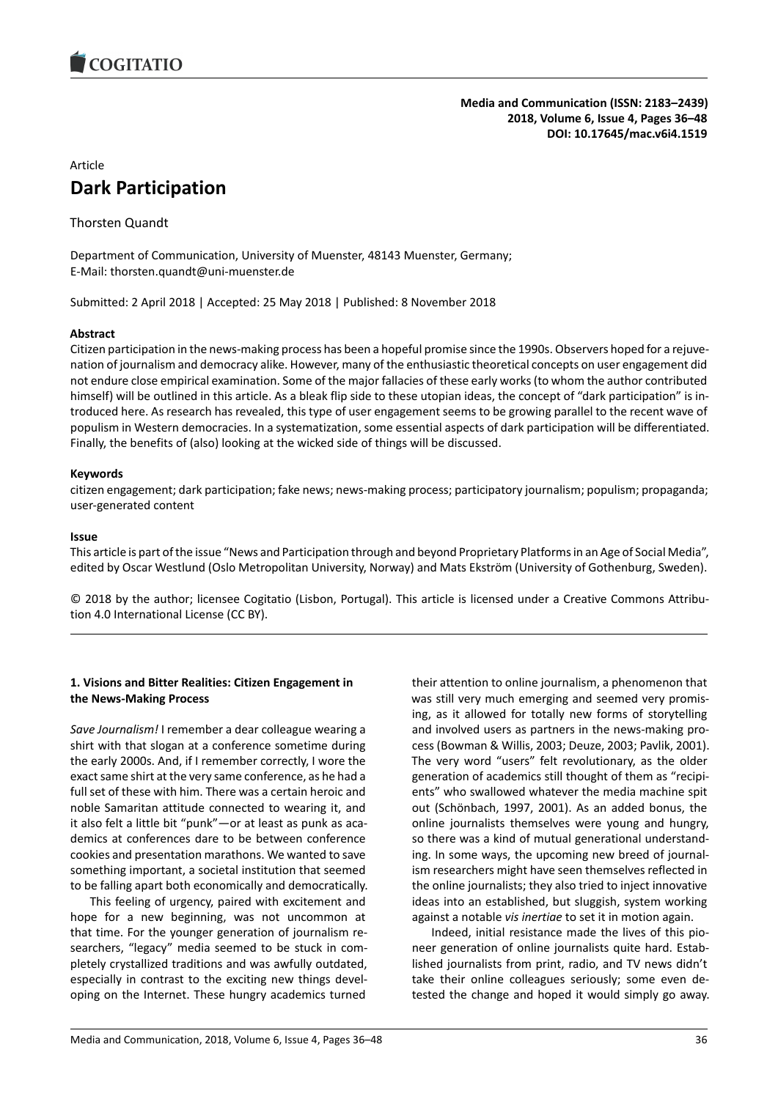

### **Media and Communication (ISSN: 2183–2439) 2018, Volume 6, Issue 4, Pages 36–48 DOI: 10.17645/mac.v6i4.1519**

# Article **Dark Participation**

Thorsten Quandt

Department of Communication, University of Muenster, 48143 Muenster, Germany; E-Mail: thorsten.quandt@uni-muenster.de

Submitted: 2 April 2018 | Accepted: 25 May 2018 | Published: 8 November 2018

## **Abstract**

Citizen participation in the news-making process has been a hopeful promise since the 1990s. Observers hoped for a rejuvenation of journalism and democracy alike. However, many of the enthusiastic theoretical concepts on user engagement did not endure close empirical examination. Some of the major fallacies of these early works (to whom the author contributed himself) will be outlined in this article. As a bleak flip side to these utopian ideas, the concept of "dark participation" is introduced here. As research has revealed, this type of user engagement seems to be growing parallel to the recent wave of populism in Western democracies. In a systematization, some essential aspects of dark participation will be differentiated. Finally, the benefits of (also) looking at the wicked side of things will be discussed.

### **Keywords**

citizen engagement; dark participation; fake news; news-making process; participatory journalism; populism; propaganda; user-generated content

### **Issue**

This article is part of the issue "News and Participation through and beyond Proprietary Platforms in an Age of Social Media", edited by Oscar Westlund (Oslo Metropolitan University, Norway) and Mats Ekström (University of Gothenburg, Sweden).

© 2018 by the author; licensee Cogitatio (Lisbon, Portugal). This article is licensed under a Creative Commons Attribution 4.0 International License (CC BY).

## **1. Visions and Bitter Realities: Citizen Engagement in the News-Making Process**

*Save Journalism!* I remember a dear colleague wearing a shirt with that slogan at a conference sometime during the early 2000s. And, if I remember correctly, I wore the exact same shirt at the very same conference, as he had a full set of these with him. There was a certain heroic and noble Samaritan attitude connected to wearing it, and it also felt a little bit "punk"—or at least as punk as academics at conferences dare to be between conference cookies and presentation marathons. We wanted to save something important, a societal institution that seemed to be falling apart both economically and democratically.

This feeling of urgency, paired with excitement and hope for a new beginning, was not uncommon at that time. For the younger generation of journalism researchers, "legacy" media seemed to be stuck in completely crystallized traditions and was awfully outdated, especially in contrast to the exciting new things developing on the Internet. These hungry academics turned their attention to online journalism, a phenomenon that was still very much emerging and seemed very promising, as it allowed for totally new forms of storytelling and involved users as partners in the news-making process (Bowman & Willis, 2003; Deuze, 2003; Pavlik, 2001). The very word "users" felt revolutionary, as the older generation of academics still thought of them as "recipients" who swallowed whatever the media machine spit out (Schönbach, 1997, 2001). As an added bonus, the online journalists themselves were young and hungry, so there was a kind of mutual generational understanding. In some ways, the upcoming new breed of journalism researchers might have seen themselves reflected in the online journalists; they also tried to inject innovative ideas into an established, but sluggish, system working against a notable *vis inertiae* to set it in motion again.

Indeed, initial resistance made the lives of this pioneer generation of online journalists quite hard. Established journalists from print, radio, and TV news didn't take their online colleagues seriously; some even detested the change and hoped it would simply go away.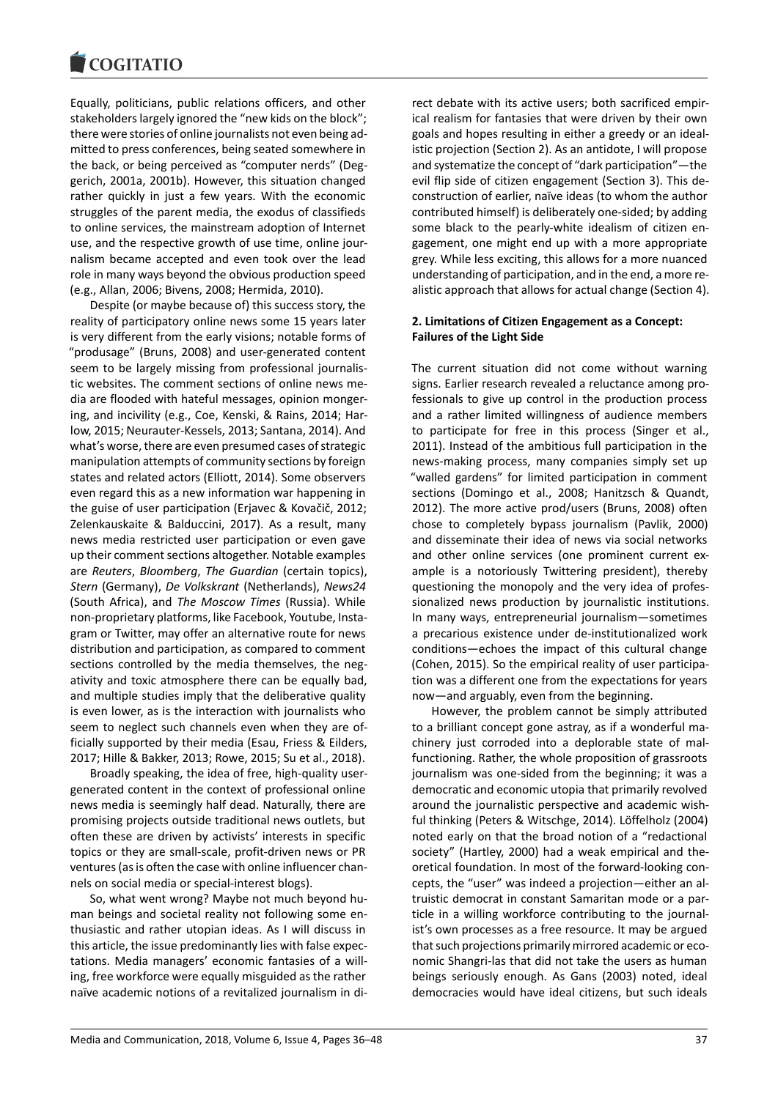#### **COMBITATIO**

Equally, politicians, public relations officers, and other stakeholders largely ignored the "new kids on the block"; there were stories of online journalists not even being admitted to press conferences, being seated somewhere in the back, or being perceived as "computer nerds" (Deggerich, 2001a, 2001b). However, this situation changed rather quickly in just a few years. With the economic struggles of the parent media, the exodus of classifieds to online services, the mainstream adoption of Internet use, and the respective growth of use time, online journalism became accepted and even took over the lead role in many ways beyond the obvious production speed (e.g., Allan, 2006; Bivens, 2008; Hermida, 2010).

Despite (or maybe because of) this success story, the reality of participatory online news some 15 years later is very different from the early visions; notable forms of "produsage" (Bruns, 2008) and user-generated content seem to be largely missing from professional journalistic websites. The comment sections of online news media are flooded with hateful messages, opinion mongering, and incivility (e.g., Coe, Kenski, & Rains, 2014; Harlow, 2015; Neurauter-Kessels, 2013; Santana, 2014). And what's worse, there are even presumed cases of strategic manipulation attempts of community sections by foreign states and related actors (Elliott, 2014). Some observers even regard this as a new information war happening in the guise of user participation (Erjavec & Kovačič, 2012; Zelenkauskaite & Balduccini, 2017). As a result, many news media restricted user participation or even gave up their comment sections altogether. Notable examples are *Reuters*, *Bloomberg*, *The Guardian* (certain topics), *Stern* (Germany), *De Volkskrant* (Netherlands), *News24* (South Africa), and *The Moscow Times* (Russia). While non-proprietary platforms, like Facebook, Youtube, Instagram or Twitter, may offer an alternative route for news distribution and participation, as compared to comment sections controlled by the media themselves, the negativity and toxic atmosphere there can be equally bad, and multiple studies imply that the deliberative quality is even lower, as is the interaction with journalists who seem to neglect such channels even when they are officially supported by their media (Esau, Friess & Eilders, 2017; Hille & Bakker, 2013; Rowe, 2015; Su et al., 2018).

Broadly speaking, the idea of free, high-quality usergenerated content in the context of professional online news media is seemingly half dead. Naturally, there are promising projects outside traditional news outlets, but often these are driven by activists' interests in specific topics or they are small-scale, profit-driven news or PR ventures (as is often the case with online influencer channels on social media or special-interest blogs).

So, what went wrong? Maybe not much beyond human beings and societal reality not following some enthusiastic and rather utopian ideas. As I will discuss in this article, the issue predominantly lies with false expectations. Media managers' economic fantasies of a willing, free workforce were equally misguided as the rather naïve academic notions of a revitalized journalism in direct debate with its active users; both sacrificed empirical realism for fantasies that were driven by their own goals and hopes resulting in either a greedy or an idealistic projection (Section 2). As an antidote, I will propose and systematize the concept of "dark participation"—the evil flip side of citizen engagement (Section 3). This deconstruction of earlier, naïve ideas (to whom the author contributed himself) is deliberately one-sided; by adding some black to the pearly-white idealism of citizen engagement, one might end up with a more appropriate grey. While less exciting, this allows for a more nuanced understanding of participation, and in the end, a more realistic approach that allows for actual change (Section 4).

### **2. Limitations of Citizen Engagement as a Concept: Failures of the Light Side**

The current situation did not come without warning signs. Earlier research revealed a reluctance among professionals to give up control in the production process and a rather limited willingness of audience members to participate for free in this process (Singer et al., 2011). Instead of the ambitious full participation in the news-making process, many companies simply set up "walled gardens" for limited participation in comment sections (Domingo et al., 2008; Hanitzsch & Quandt, 2012). The more active prod/users (Bruns, 2008) often chose to completely bypass journalism (Pavlik, 2000) and disseminate their idea of news via social networks and other online services (one prominent current example is a notoriously Twittering president), thereby questioning the monopoly and the very idea of professionalized news production by journalistic institutions. In many ways, entrepreneurial journalism—sometimes a precarious existence under de-institutionalized work conditions—echoes the impact of this cultural change (Cohen, 2015). So the empirical reality of user participation was a different one from the expectations for years now—and arguably, even from the beginning.

However, the problem cannot be simply attributed to a brilliant concept gone astray, as if a wonderful machinery just corroded into a deplorable state of malfunctioning. Rather, the whole proposition of grassroots journalism was one-sided from the beginning; it was a democratic and economic utopia that primarily revolved around the journalistic perspective and academic wishful thinking (Peters & Witschge, 2014). Löffelholz (2004) noted early on that the broad notion of a "redactional society" (Hartley, 2000) had a weak empirical and theoretical foundation. In most of the forward-looking concepts, the "user" was indeed a projection—either an altruistic democrat in constant Samaritan mode or a particle in a willing workforce contributing to the journalist's own processes as a free resource. It may be argued that such projections primarily mirrored academic or economic Shangri-las that did not take the users as human beings seriously enough. As Gans (2003) noted, ideal democracies would have ideal citizens, but such ideals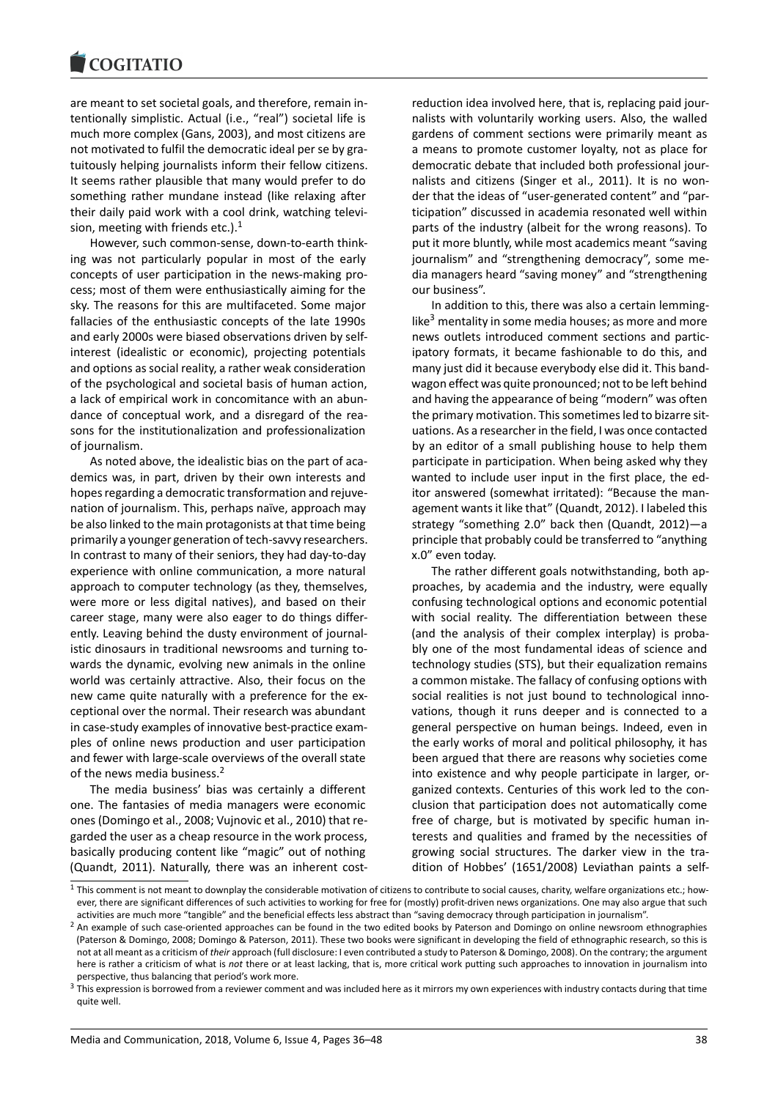#### COULTAIN

are meant to set societal goals, and therefore, remain intentionally simplistic. Actual (i.e., "real") societal life is much more complex (Gans, 2003), and most citizens are not motivated to fulfil the democratic ideal per se by gratuitously helping journalists inform their fellow citizens. It seems rather plausible that many would prefer to do something rather mundane instead (like relaxing after their daily paid work with a cool drink, watching television, meeting with friends etc.). $<sup>1</sup>$ </sup>

However, such common-sense, down-to-earth thinking was not particularly popular in most of the early concepts of user participation in the news-making process; most of them were enthu[si](#page-2-0)astically aiming for the sky. The reasons for this are multifaceted. Some major fallacies of the enthusiastic concepts of the late 1990s and early 2000s were biased observations driven by selfinterest (idealistic or economic), projecting potentials and options as social reality, a rather weak consideration of the psychological and societal basis of human action, a lack of empirical work in concomitance with an abundance of conceptual work, and a disregard of the reasons for the institutionalization and professionalization of journalism.

As noted above, the idealistic bias on the part of academics was, in part, driven by their own interests and hopes regarding a democratic transformation and rejuvenation of journalism. This, perhaps naïve, approach may be also linked to the main protagonists at that time being primarily a younger generation of tech-savvy researchers. In contrast to many of their seniors, they had day-to-day experience with online communication, a more natural approach to computer technology (as they, themselves, were more or less digital natives), and based on their career stage, many were also eager to do things differently. Leaving behind the dusty environment of journalistic dinosaurs in traditional newsrooms and turning towards the dynamic, evolving new animals in the online world was certainly attractive. Also, their focus on the new came quite naturally with a preference for the exceptional over the normal. Their research was abundant in case-study examples of innovative best-practice examples of online news production and user participation and fewer with large-scale overviews of the overall state of the news media business.<sup>2</sup>

The media business' bias was certainly a different one. The fantasies of media managers were economic ones (Domingo et al., 2008; Vujnovic et al., 2010) that regarded the user as a cheapr[es](#page-2-1)ource in the work process, basically producing content like "magic" out of nothing (Quandt, 2011). Naturally, there was an inherent costreduction idea involved here, that is, replacing paid journalists with voluntarily working users. Also, the walled gardens of comment sections were primarily meant as a means to promote customer loyalty, not as place for democratic debate that included both professional journalists and citizens (Singer et al., 2011). It is no wonder that the ideas of "user-generated content" and "participation" discussed in academia resonated well within parts of the industry (albeit for the wrong reasons). To put it more bluntly, while most academics meant "saving journalism" and "strengthening democracy", some media managers heard "saving money" and "strengthening our business".

In addition to this, there was also a certain lemminglike<sup>3</sup> mentality in some media houses; as more and more news outlets introduced comment sections and participatory formats, it became fashionable to do this, and many just did it because everybody else did it. This bandwa[go](#page-2-2)n effect was quite pronounced; not to be left behind and having the appearance of being "modern" was often the primary motivation. This sometimes led to bizarre situations. As a researcher in the field, I was once contacted by an editor of a small publishing house to help them participate in participation. When being asked why they wanted to include user input in the first place, the editor answered (somewhat irritated): "Because the management wants it like that" (Quandt, 2012). I labeled this strategy "something 2.0" back then (Quandt, 2012)—a principle that probably could be transferred to "anything x.0" even today.

The rather different goals notwithstanding, both approaches, by academia and the industry, were equally confusing technological options and economic potential with social reality. The differentiation between these (and the analysis of their complex interplay) is probably one of the most fundamental ideas of science and technology studies (STS), but their equalization remains a common mistake. The fallacy of confusing options with social realities is not just bound to technological innovations, though it runs deeper and is connected to a general perspective on human beings. Indeed, even in the early works of moral and political philosophy, it has been argued that there are reasons why societies come into existence and why people participate in larger, organized contexts. Centuries of this work led to the conclusion that participation does not automatically come free of charge, but is motivated by specific human interests and qualities and framed by the necessities of growing social structures. The darker view in the tradition of Hobbes' (1651/2008) Leviathan paints a self-

 $1$  This comment is not meant to downplay the considerable motivation of citizens to contribute to social causes, charity, welfare organizations etc.; however, there are significant differences of such activities to working for free for (mostly) profit-driven news organizations. One may also argue that such activities are much more "tangible" and the beneficial effects less abstract than "saving democracy through participation in journalism".

<span id="page-2-0"></span><sup>&</sup>lt;sup>2</sup> An example of such case-oriented approaches can be found in the two edited books by Paterson and Domingo on online newsroom ethnographies (Paterson & Domingo, 2008; Domingo & Paterson, 2011). These two books were significant in developing the field of ethnographic research, so this is not at all meant as a criticism of *their* approach (full disclosure: I even contributed a study to Paterson & Domingo, 2008). On the contrary; the argument here is rather a criticism of what is *not* there or at least lacking, that is, more critical work putting such approaches to innovation in journalism into perspective, thus balancing that period's work more.

<span id="page-2-2"></span><span id="page-2-1"></span> $3$  This expression is borrowed from a reviewer comment and was included here as it mirrors my own experiences with industry contacts during that time quite well.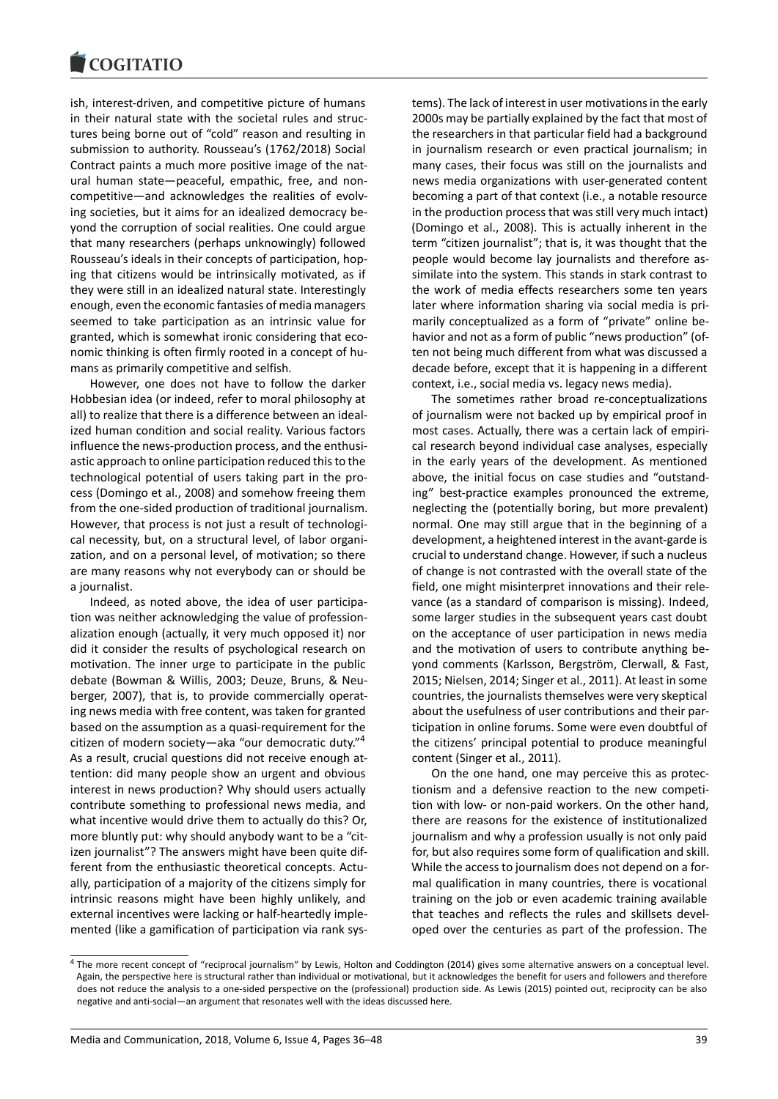ish, interest-driven, and competitive picture of humans in their natural state with the societal rules and structures being borne out of "cold" reason and resulting in submission to authority. Rousseau's (1762/2018) Social Contract paints a much more positive image of the natural human state—peaceful, empathic, free, and noncompetitive—and acknowledges the realities of evolving societies, but it aims for an idealized democracy beyond the corruption of social realities. One could argue that many researchers (perhaps unknowingly) followed Rousseau's ideals in their concepts of participation, hoping that citizens would be intrinsically motivated, as if they were still in an idealized natural state. Interestingly enough, even the economic fantasies of media managers seemed to take participation as an intrinsic value for granted, which is somewhat ironic considering that economic thinking is often firmly rooted in a concept of humans as primarily competitive and selfish.

However, one does not have to follow the darker Hobbesian idea (or indeed, refer to moral philosophy at all) to realize that there is a difference between an idealized human condition and social reality. Various factors influence the news-production process, and the enthusiastic approach to online participation reduced this to the technological potential of users taking part in the process (Domingo et al., 2008) and somehow freeing them from the one-sided production of traditional journalism. However, that process is not just a result of technological necessity, but, on a structural level, of labor organization, and on a personal level, of motivation; so there are many reasons why not everybody can or should be a journalist.

Indeed, as noted above, the idea of user participation was neither acknowledging the value of professionalization enough (actually, it very much opposed it) nor did it consider the results of psychological research on motivation. The inner urge to participate in the public debate (Bowman & Willis, 2003; Deuze, Bruns, & Neuberger, 2007), that is, to provide commercially operating news media with free content, was taken for granted based on the assumption as a quasi-requirement for the citizen of modern society—aka "our democratic duty."<sup>4</sup> As a result, crucial questions did not receive enough attention: did many people show an urgent and obvious interest in news production? Why should users actually contribute something to professional news media, an[d](#page-3-0) what incentive would drive them to actually do this? Or, more bluntly put: why should anybody want to be a "citizen journalist"? The answers might have been quite different from the enthusiastic theoretical concepts. Actually, participation of a majority of the citizens simply for intrinsic reasons might have been highly unlikely, and external incentives were lacking or half-heartedly implemented (like a gamification of participation via rank systems). The lack of interest in user motivations in the early 2000s may be partially explained by the fact that most of the researchers in that particular field had a background in journalism research or even practical journalism; in many cases, their focus was still on the journalists and news media organizations with user-generated content becoming a part of that context (i.e., a notable resource in the production process that was still very much intact) (Domingo et al., 2008). This is actually inherent in the term "citizen journalist"; that is, it was thought that the people would become lay journalists and therefore assimilate into the system. This stands in stark contrast to the work of media effects researchers some ten years later where information sharing via social media is primarily conceptualized as a form of "private" online behavior and not as a form of public "news production" (often not being much different from what was discussed a decade before, except that it is happening in a different context, i.e., social media vs. legacy news media).

The sometimes rather broad re-conceptualizations of journalism were not backed up by empirical proof in most cases. Actually, there was a certain lack of empirical research beyond individual case analyses, especially in the early years of the development. As mentioned above, the initial focus on case studies and "outstanding" best-practice examples pronounced the extreme, neglecting the (potentially boring, but more prevalent) normal. One may still argue that in the beginning of a development, a heightened interest in the avant-garde is crucial to understand change. However, if such a nucleus of change is not contrasted with the overall state of the field, one might misinterpret innovations and their relevance (as a standard of comparison is missing). Indeed, some larger studies in the subsequent years cast doubt on the acceptance of user participation in news media and the motivation of users to contribute anything beyond comments (Karlsson, Bergström, Clerwall, & Fast, 2015; Nielsen, 2014; Singer et al., 2011). At least in some countries, the journalists themselves were very skeptical about the usefulness of user contributions and their participation in online forums. Some were even doubtful of the citizens' principal potential to produce meaningful content (Singer et al., 2011).

On the one hand, one may perceive this as protectionism and a defensive reaction to the new competition with low- or non-paid workers. On the other hand, there are reasons for the existence of institutionalized journalism and why a profession usually is not only paid for, but also requires some form of qualification and skill. While the access to journalism does not depend on a formal qualification in many countries, there is vocational training on the job or even academic training available that teaches and reflects the rules and skillsets developed over the centuries as part of the profession. The

<span id="page-3-0"></span><sup>&</sup>lt;sup>4</sup> The more recent concept of "reciprocal journalism" by Lewis, Holton and Coddington (2014) gives some alternative answers on a conceptual level. Again, the perspective here is structural rather than individual or motivational, but it acknowledges the benefit for users and followers and therefore does not reduce the analysis to a one-sided perspective on the (professional) production side. As Lewis (2015) pointed out, reciprocity can be also negative and anti-social—an argument that resonates well with the ideas discussed here.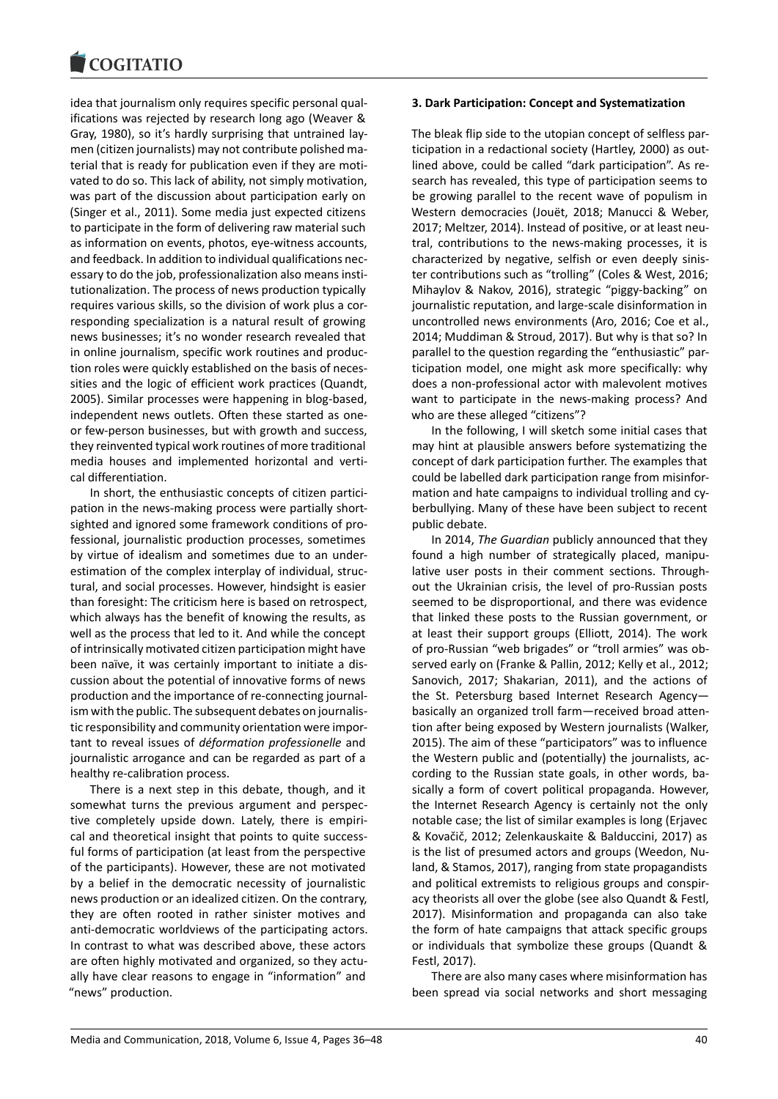#### COQUIATIO

idea that journalism only requires specific personal qualifications was rejected by research long ago (Weaver & Gray, 1980), so it's hardly surprising that untrained laymen (citizen journalists) may not contribute polished material that is ready for publication even if they are motivated to do so. This lack of ability, not simply motivation, was part of the discussion about participation early on (Singer et al., 2011). Some media just expected citizens to participate in the form of delivering raw material such as information on events, photos, eye-witness accounts, and feedback. In addition to individual qualifications necessary to do the job, professionalization also means institutionalization. The process of news production typically requires various skills, so the division of work plus a corresponding specialization is a natural result of growing news businesses; it's no wonder research revealed that in online journalism, specific work routines and production roles were quickly established on the basis of necessities and the logic of efficient work practices (Quandt, 2005). Similar processes were happening in blog-based, independent news outlets. Often these started as oneor few-person businesses, but with growth and success, they reinvented typical work routines of more traditional media houses and implemented horizontal and vertical differentiation.

In short, the enthusiastic concepts of citizen participation in the news-making process were partially shortsighted and ignored some framework conditions of professional, journalistic production processes, sometimes by virtue of idealism and sometimes due to an underestimation of the complex interplay of individual, structural, and social processes. However, hindsight is easier than foresight: The criticism here is based on retrospect, which always has the benefit of knowing the results, as well as the process that led to it. And while the concept of intrinsically motivated citizen participation might have been naïve, it was certainly important to initiate a discussion about the potential of innovative forms of news production and the importance of re-connecting journalism with the public. The subsequent debates on journalistic responsibility and community orientation were important to reveal issues of *déformation professionelle* and journalistic arrogance and can be regarded as part of a healthy re-calibration process.

There is a next step in this debate, though, and it somewhat turns the previous argument and perspective completely upside down. Lately, there is empirical and theoretical insight that points to quite successful forms of participation (at least from the perspective of the participants). However, these are not motivated by a belief in the democratic necessity of journalistic news production or an idealized citizen. On the contrary, they are often rooted in rather sinister motives and anti-democratic worldviews of the participating actors. In contrast to what was described above, these actors are often highly motivated and organized, so they actually have clear reasons to engage in "information" and "news" production.

### **3. Dark Participation: Concept and Systematization**

The bleak flip side to the utopian concept of selfless participation in a redactional society (Hartley, 2000) as outlined above, could be called "dark participation". As research has revealed, this type of participation seems to be growing parallel to the recent wave of populism in Western democracies (Jouët, 2018; Manucci & Weber, 2017; Meltzer, 2014). Instead of positive, or at least neutral, contributions to the news-making processes, it is characterized by negative, selfish or even deeply sinister contributions such as "trolling" (Coles & West, 2016; Mihaylov & Nakov, 2016), strategic "piggy-backing" on journalistic reputation, and large-scale disinformation in uncontrolled news environments (Aro, 2016; Coe et al., 2014; Muddiman & Stroud, 2017). But why is that so? In parallel to the question regarding the "enthusiastic" participation model, one might ask more specifically: why does a non-professional actor with malevolent motives want to participate in the news-making process? And who are these alleged "citizens"?

In the following, I will sketch some initial cases that may hint at plausible answers before systematizing the concept of dark participation further. The examples that could be labelled dark participation range from misinformation and hate campaigns to individual trolling and cyberbullying. Many of these have been subject to recent public debate.

In 2014, *The Guardian* publicly announced that they found a high number of strategically placed, manipulative user posts in their comment sections. Throughout the Ukrainian crisis, the level of pro-Russian posts seemed to be disproportional, and there was evidence that linked these posts to the Russian government, or at least their support groups (Elliott, 2014). The work of pro-Russian "web brigades" or "troll armies" was observed early on (Franke & Pallin, 2012; Kelly et al., 2012; Sanovich, 2017; Shakarian, 2011), and the actions of the St. Petersburg based Internet Research Agency basically an organized troll farm—received broad attention after being exposed by Western journalists (Walker, 2015). The aim of these "participators" was to influence the Western public and (potentially) the journalists, according to the Russian state goals, in other words, basically a form of covert political propaganda. However, the Internet Research Agency is certainly not the only notable case; the list of similar examples is long (Erjavec & Kovačič, 2012; Zelenkauskaite & Balduccini, 2017) as is the list of presumed actors and groups (Weedon, Nuland, & Stamos, 2017), ranging from state propagandists and political extremists to religious groups and conspiracy theorists all over the globe (see also Quandt & Festl, 2017). Misinformation and propaganda can also take the form of hate campaigns that attack specific groups or individuals that symbolize these groups (Quandt & Festl, 2017).

There are also many cases where misinformation has been spread via social networks and short messaging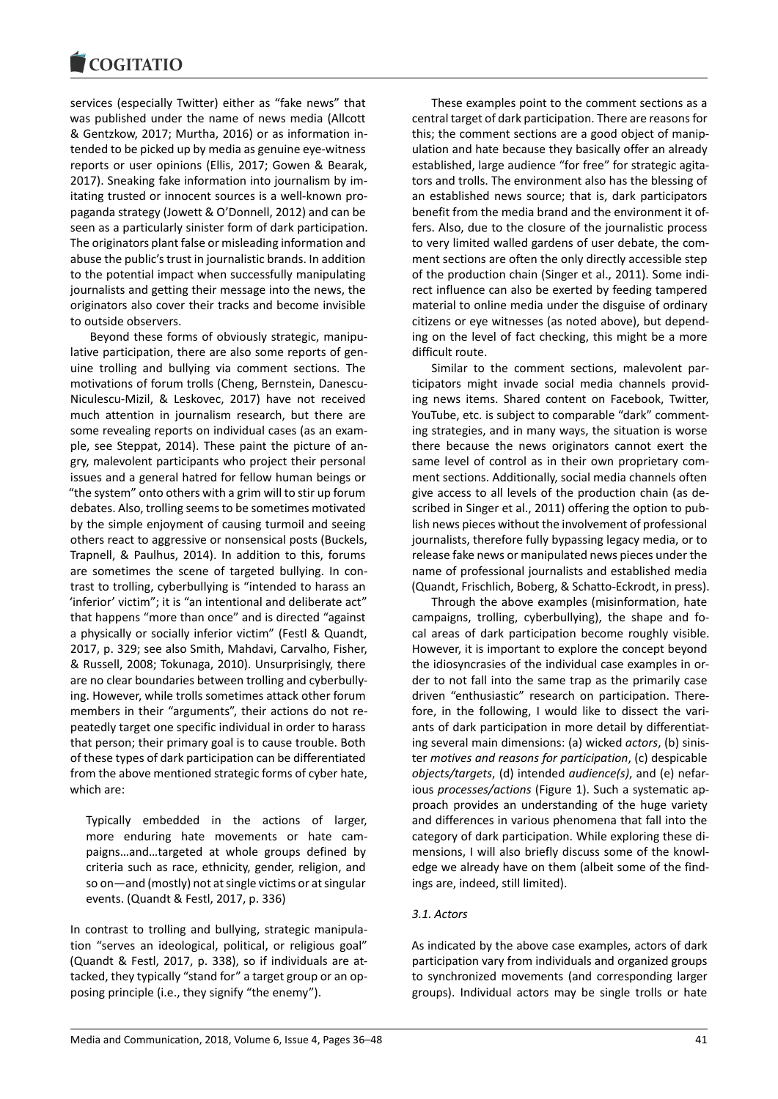#### COQUIATIO

services (especially Twitter) either as "fake news" that was published under the name of news media (Allcott & Gentzkow, 2017; Murtha, 2016) or as information intended to be picked up by media as genuine eye-witness reports or user opinions (Ellis, 2017; Gowen & Bearak, 2017). Sneaking fake information into journalism by imitating trusted or innocent sources is a well-known propaganda strategy (Jowett & O'Donnell, 2012) and can be seen as a particularly sinister form of dark participation. The originators plant false or misleading information and abuse the public's trust in journalistic brands. In addition to the potential impact when successfully manipulating journalists and getting their message into the news, the originators also cover their tracks and become invisible to outside observers.

Beyond these forms of obviously strategic, manipulative participation, there are also some reports of genuine trolling and bullying via comment sections. The motivations of forum trolls (Cheng, Bernstein, Danescu-Niculescu-Mizil, & Leskovec, 2017) have not received much attention in journalism research, but there are some revealing reports on individual cases (as an example, see Steppat, 2014). These paint the picture of angry, malevolent participants who project their personal issues and a general hatred for fellow human beings or "the system" onto others with a grim will to stir up forum debates. Also, trolling seems to be sometimes motivated by the simple enjoyment of causing turmoil and seeing others react to aggressive or nonsensical posts (Buckels, Trapnell, & Paulhus, 2014). In addition to this, forums are sometimes the scene of targeted bullying. In contrast to trolling, cyberbullying is "intended to harass an 'inferior' victim"; it is "an intentional and deliberate act" that happens "more than once" and is directed "against a physically or socially inferior victim" (Festl & Quandt, 2017, p. 329; see also Smith, Mahdavi, Carvalho, Fisher, & Russell, 2008; Tokunaga, 2010). Unsurprisingly, there are no clear boundaries between trolling and cyberbullying. However, while trolls sometimes attack other forum members in their "arguments", their actions do not repeatedly target one specific individual in order to harass that person; their primary goal is to cause trouble. Both of these types of dark participation can be differentiated from the above mentioned strategic forms of cyber hate, which are:

Typically embedded in the actions of larger, more enduring hate movements or hate campaigns…and…targeted at whole groups defined by criteria such as race, ethnicity, gender, religion, and so on—and (mostly) not at single victims or at singular events. (Quandt & Festl, 2017, p. 336)

In contrast to trolling and bullying, strategic manipulation "serves an ideological, political, or religious goal" (Quandt & Festl, 2017, p. 338), so if individuals are attacked, they typically "stand for" a target group or an opposing principle (i.e., they signify "the enemy").

These examples point to the comment sections as a central target of dark participation. There are reasons for this; the comment sections are a good object of manipulation and hate because they basically offer an already established, large audience "for free" for strategic agitators and trolls. The environment also has the blessing of an established news source; that is, dark participators benefit from the media brand and the environment it offers. Also, due to the closure of the journalistic process to very limited walled gardens of user debate, the comment sections are often the only directly accessible step of the production chain (Singer et al., 2011). Some indirect influence can also be exerted by feeding tampered material to online media under the disguise of ordinary citizens or eye witnesses (as noted above), but depending on the level of fact checking, this might be a more difficult route.

Similar to the comment sections, malevolent participators might invade social media channels providing news items. Shared content on Facebook, Twitter, YouTube, etc. is subject to comparable "dark" commenting strategies, and in many ways, the situation is worse there because the news originators cannot exert the same level of control as in their own proprietary comment sections. Additionally, social media channels often give access to all levels of the production chain (as described in Singer et al., 2011) offering the option to publish news pieces without the involvement of professional journalists, therefore fully bypassing legacy media, or to release fake news or manipulated news pieces under the name of professional journalists and established media (Quandt, Frischlich, Boberg, & Schatto-Eckrodt, in press).

Through the above examples (misinformation, hate campaigns, trolling, cyberbullying), the shape and focal areas of dark participation become roughly visible. However, it is important to explore the concept beyond the idiosyncrasies of the individual case examples in order to not fall into the same trap as the primarily case driven "enthusiastic" research on participation. Therefore, in the following, I would like to dissect the variants of dark participation in more detail by differentiating several main dimensions: (a) wicked *actors*, (b) sinister *motives and reasons for participation*, (c) despicable *objects/targets*, (d) intended *audience(s)*, and (e) nefarious *processes/actions* (Figure 1). Such a systematic approach provides an understanding of the huge variety and differences in various phenomena that fall into the category of dark participation. While exploring these dimensions, I will also briefly discuss some of the knowledge we already have on them (albeit some of the findings are, indeed, still limited).

## *3.1. Actors*

As indicated by the above case examples, actors of dark participation vary from individuals and organized groups to synchronized movements (and corresponding larger groups). Individual actors may be single trolls or hate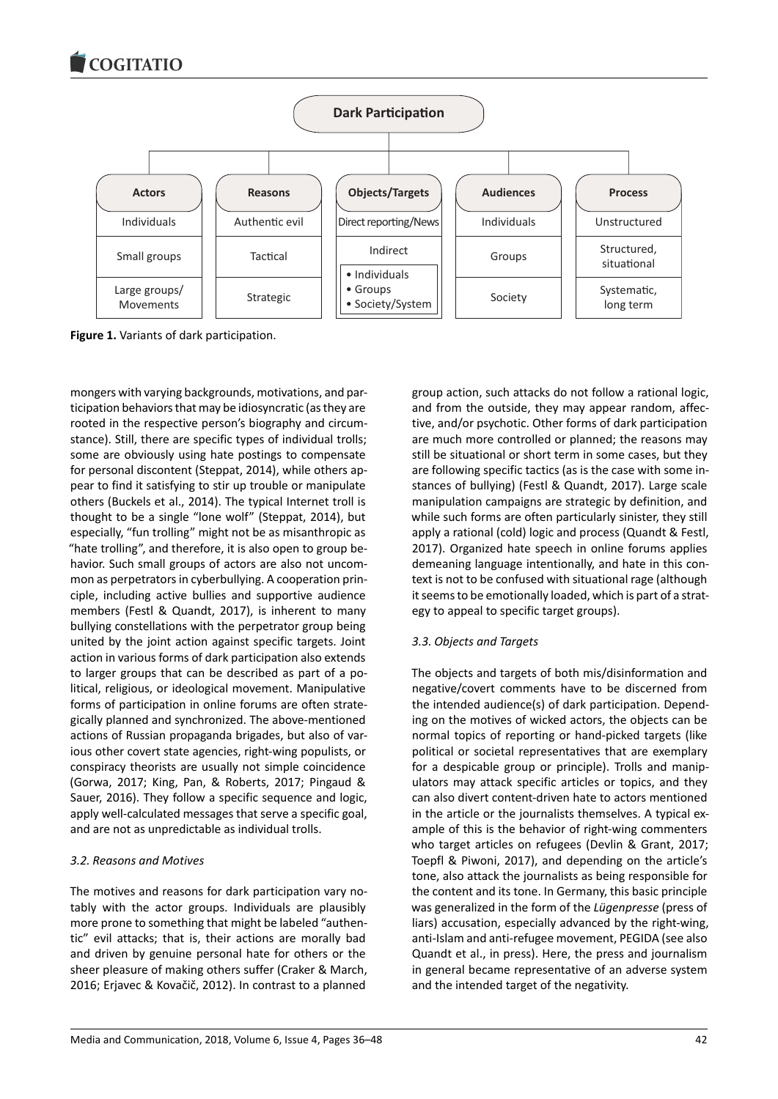

**Figure 1.** Variants of dark participation.

mongers with varying backgrounds, motivations, and participation behaviors that may be idiosyncratic (as they are rooted in the respective person's biography and circumstance). Still, there are specific types of individual trolls; some are obviously using hate postings to compensate for personal discontent (Steppat, 2014), while others appear to find it satisfying to stir up trouble or manipulate others (Buckels et al., 2014). The typical Internet troll is thought to be a single "lone wolf" (Steppat, 2014), but especially, "fun trolling" might not be as misanthropic as "hate trolling", and therefore, it is also open to group behavior. Such small groups of actors are also not uncommon as perpetrators in cyberbullying. A cooperation principle, including active bullies and supportive audience members (Festl & Quandt, 2017), is inherent to many bullying constellations with the perpetrator group being united by the joint action against specific targets. Joint action in various forms of dark participation also extends to larger groups that can be described as part of a political, religious, or ideological movement. Manipulative forms of participation in online forums are often strategically planned and synchronized. The above-mentioned actions of Russian propaganda brigades, but also of various other covert state agencies, right-wing populists, or conspiracy theorists are usually not simple coincidence (Gorwa, 2017; King, Pan, & Roberts, 2017; Pingaud & Sauer, 2016). They follow a specific sequence and logic, apply well-calculated messages that serve a specific goal, and are not as unpredictable as individual trolls.

## *3.2. Reasons and Motives*

The motives and reasons for dark participation vary notably with the actor groups. Individuals are plausibly more prone to something that might be labeled "authentic" evil attacks; that is, their actions are morally bad and driven by genuine personal hate for others or the sheer pleasure of making others suffer (Craker & March, 2016; Erjavec & Kovačič, 2012). In contrast to a planned

group action, such attacks do not follow a rational logic, and from the outside, they may appear random, affective, and/or psychotic. Other forms of dark participation are much more controlled or planned; the reasons may still be situational or short term in some cases, but they are following specific tactics (as is the case with some instances of bullying) (Festl & Quandt, 2017). Large scale manipulation campaigns are strategic by definition, and while such forms are often particularly sinister, they still apply a rational (cold) logic and process (Quandt & Festl, 2017). Organized hate speech in online forums applies demeaning language intentionally, and hate in this context is not to be confused with situational rage (although it seems to be emotionally loaded, which is part of a strategy to appeal to specific target groups).

## *3.3. Objects and Targets*

The objects and targets of both mis/disinformation and negative/covert comments have to be discerned from the intended audience(s) of dark participation. Depending on the motives of wicked actors, the objects can be normal topics of reporting or hand-picked targets (like political or societal representatives that are exemplary for a despicable group or principle). Trolls and manipulators may attack specific articles or topics, and they can also divert content-driven hate to actors mentioned in the article or the journalists themselves. A typical example of this is the behavior of right-wing commenters who target articles on refugees (Devlin & Grant, 2017; Toepfl & Piwoni, 2017), and depending on the article's tone, also attack the journalists as being responsible for the content and its tone. In Germany, this basic principle was generalized in the form of the *Lügenpresse* (press of liars) accusation, especially advanced by the right-wing, anti-Islam and anti-refugee movement, PEGIDA (see also Quandt et al., in press). Here, the press and journalism in general became representative of an adverse system and the intended target of the negativity.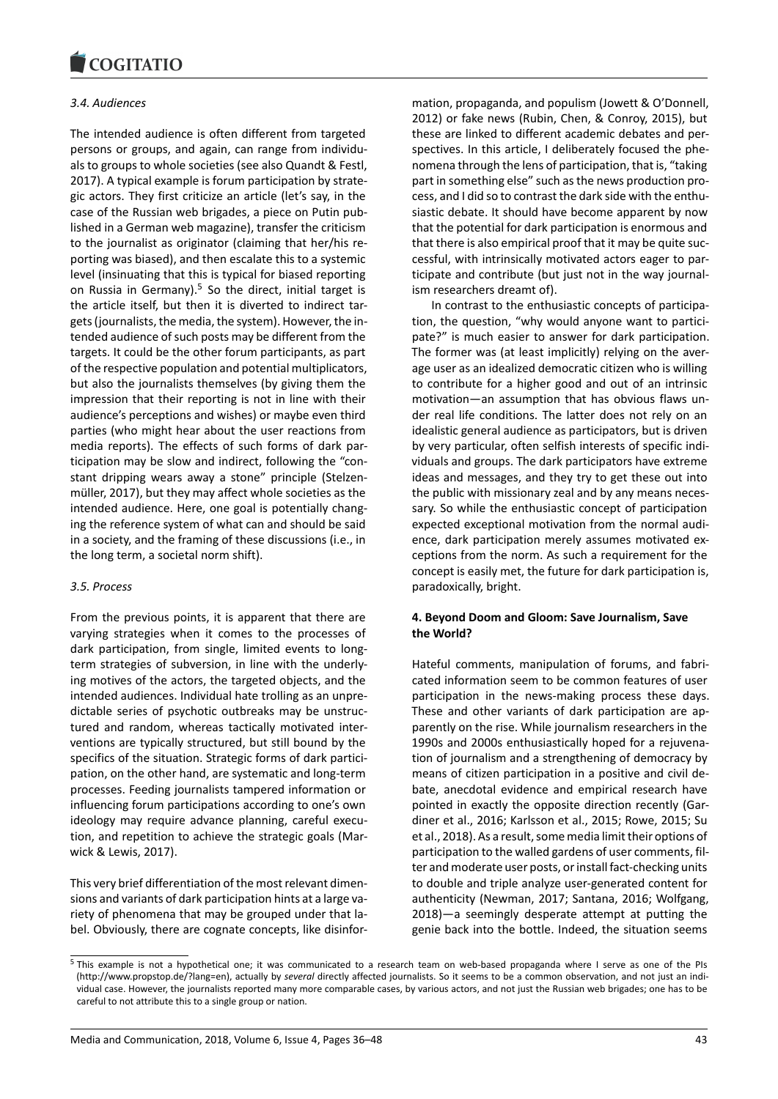### *3.4. Audiences*

The intended audience is often different from targeted persons or groups, and again, can range from individuals to groups to whole societies (see also Quandt & Festl, 2017). A typical example is forum participation by strategic actors. They first criticize an article (let's say, in the case of the Russian web brigades, a piece on Putin published in a German web magazine), transfer the criticism to the journalist as originator (claiming that her/his reporting was biased), and then escalate this to a systemic level (insinuating that this is typical for biased reporting on Russia in Germany).<sup>5</sup> So the direct, initial target is the article itself, but then it is diverted to indirect targets (journalists, the media, the system). However, the intended audience of such posts may be different from the targets. It could be the [ot](#page-7-0)her forum participants, as part of the respective population and potential multiplicators, but also the journalists themselves (by giving them the impression that their reporting is not in line with their audience's perceptions and wishes) or maybe even third parties (who might hear about the user reactions from media reports). The effects of such forms of dark participation may be slow and indirect, following the "constant dripping wears away a stone" principle (Stelzenmüller, 2017), but they may affect whole societies as the intended audience. Here, one goal is potentially changing the reference system of what can and should be said in a society, and the framing of these discussions (i.e., in the long term, a societal norm shift).

## *3.5. Process*

From the previous points, it is apparent that there are varying strategies when it comes to the processes of dark participation, from single, limited events to longterm strategies of subversion, in line with the underlying motives of the actors, the targeted objects, and the intended audiences. Individual hate trolling as an unpredictable series of psychotic outbreaks may be unstructured and random, whereas tactically motivated interventions are typically structured, but still bound by the specifics of the situation. Strategic forms of dark participation, on the other hand, are systematic and long-term processes. Feeding journalists tampered information or influencing forum participations according to one's own ideology may require advance planning, careful execution, and repetition to achieve the strategic goals (Marwick & Lewis, 2017).

This very brief differentiation of the most relevant dimensions and variants of dark participation hints at a large variety of phenomena that may be grouped under that label. Obviously, there are cognate concepts, like disinfor-

mation, propaganda, and populism (Jowett & O'Donnell, 2012) or fake news (Rubin, Chen, & Conroy, 2015), but these are linked to different academic debates and perspectives. In this article, I deliberately focused the phenomena through the lens of participation, that is, "taking part in something else" such as the news production process, and I did so to contrast the dark side with the enthusiastic debate. It should have become apparent by now that the potential for dark participation is enormous and that there is also empirical proof that it may be quite successful, with intrinsically motivated actors eager to participate and contribute (but just not in the way journalism researchers dreamt of).

In contrast to the enthusiastic concepts of participation, the question, "why would anyone want to participate?" is much easier to answer for dark participation. The former was (at least implicitly) relying on the average user as an idealized democratic citizen who is willing to contribute for a higher good and out of an intrinsic motivation—an assumption that has obvious flaws under real life conditions. The latter does not rely on an idealistic general audience as participators, but is driven by very particular, often selfish interests of specific individuals and groups. The dark participators have extreme ideas and messages, and they try to get these out into the public with missionary zeal and by any means necessary. So while the enthusiastic concept of participation expected exceptional motivation from the normal audience, dark participation merely assumes motivated exceptions from the norm. As such a requirement for the concept is easily met, the future for dark participation is, paradoxically, bright.

## **4. Beyond Doom and Gloom: Save Journalism, Save the World?**

Hateful comments, manipulation of forums, and fabricated information seem to be common features of user participation in the news-making process these days. These and other variants of dark participation are apparently on the rise. While journalism researchers in the 1990s and 2000s enthusiastically hoped for a rejuvenation of journalism and a strengthening of democracy by means of citizen participation in a positive and civil debate, anecdotal evidence and empirical research have pointed in exactly the opposite direction recently (Gardiner et al., 2016; Karlsson et al., 2015; Rowe, 2015; Su et al., 2018). As a result, some media limit their options of participation to the walled gardens of user comments, filter and moderate user posts, or install fact-checking units to double and triple analyze user-generated content for authenticity (Newman, 2017; Santana, 2016; Wolfgang, 2018)—a seemingly desperate attempt at putting the genie back into the bottle. Indeed, the situation seems

<span id="page-7-0"></span><sup>5</sup> This example is not a hypothetical one; it was communicated to a research team on web-based propaganda where I serve as one of the PIs (http://www.propstop.de/?lang=en), actually by *several* directly affected journalists. So it seems to be a common observation, and not just an individual case. However, the journalists reported many more comparable cases, by various actors, and not just the Russian web brigades; one has to be careful to not attribute this to a single group or nation.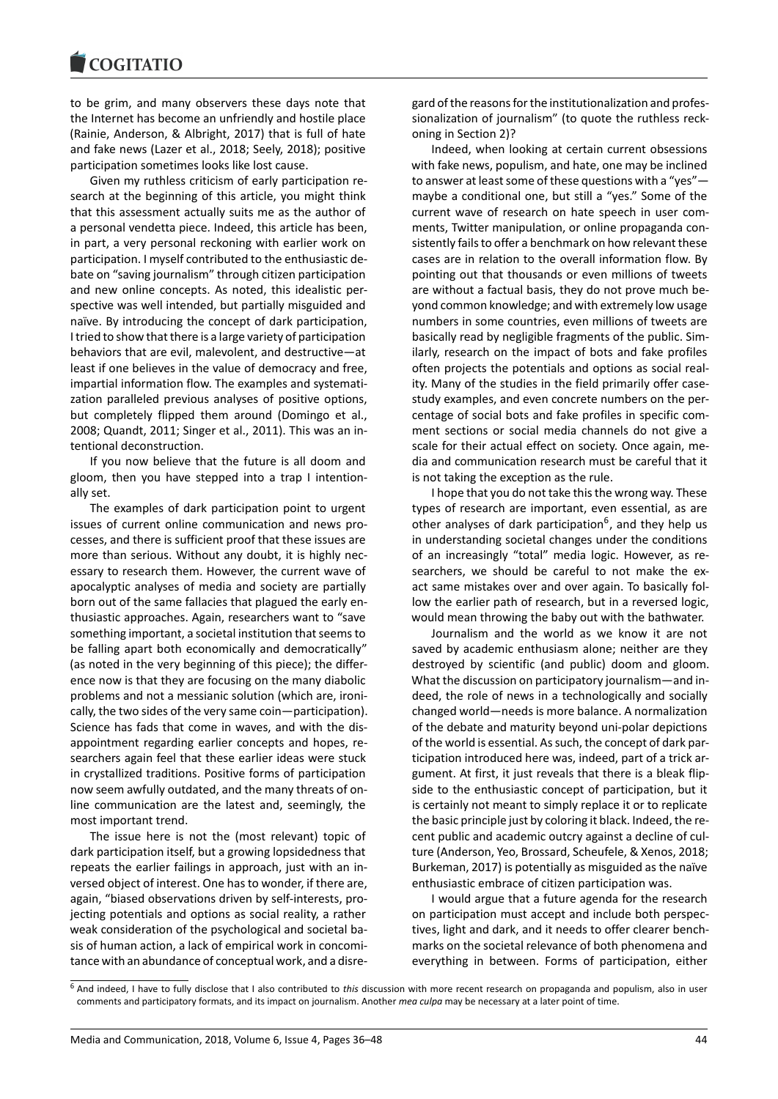### COQUIATIO

to be grim, and many observers these days note that the Internet has become an unfriendly and hostile place (Rainie, Anderson, & Albright, 2017) that is full of hate and fake news (Lazer et al., 2018; Seely, 2018); positive participation sometimes looks like lost cause.

Given my ruthless criticism of early participation research at the beginning of this article, you might think that this assessment actually suits me as the author of a personal vendetta piece. Indeed, this article has been, in part, a very personal reckoning with earlier work on participation. I myself contributed to the enthusiastic debate on "saving journalism" through citizen participation and new online concepts. As noted, this idealistic perspective was well intended, but partially misguided and naïve. By introducing the concept of dark participation, I tried to show that there is a large variety of participation behaviors that are evil, malevolent, and destructive—at least if one believes in the value of democracy and free, impartial information flow. The examples and systematization paralleled previous analyses of positive options, but completely flipped them around (Domingo et al., 2008; Quandt, 2011; Singer et al., 2011). This was an intentional deconstruction.

If you now believe that the future is all doom and gloom, then you have stepped into a trap I intentionally set.

The examples of dark participation point to urgent issues of current online communication and news processes, and there is sufficient proof that these issues are more than serious. Without any doubt, it is highly necessary to research them. However, the current wave of apocalyptic analyses of media and society are partially born out of the same fallacies that plagued the early enthusiastic approaches. Again, researchers want to "save something important, a societal institution that seems to be falling apart both economically and democratically" (as noted in the very beginning of this piece); the difference now is that they are focusing on the many diabolic problems and not a messianic solution (which are, ironically, the two sides of the very same coin—participation). Science has fads that come in waves, and with the disappointment regarding earlier concepts and hopes, researchers again feel that these earlier ideas were stuck in crystallized traditions. Positive forms of participation now seem awfully outdated, and the many threats of online communication are the latest and, seemingly, the most important trend.

The issue here is not the (most relevant) topic of dark participation itself, but a growing lopsidedness that repeats the earlier failings in approach, just with an inversed object of interest. One has to wonder, if there are, again, "biased observations driven by self-interests, projecting potentials and options as social reality, a rather weak consideration of the psychological and societal basis of human action, a lack of empirical work in concomitance with an abundance of conceptual work, and a disregard of the reasons for the institutionalization and professionalization of journalism" (to quote the ruthless reckoning in Section 2)?

Indeed, when looking at certain current obsessions with fake news, populism, and hate, one may be inclined to answer at least some of these questions with a "yes" maybe a conditional one, but still a "yes." Some of the current wave of research on hate speech in user comments, Twitter manipulation, or online propaganda consistently fails to offer a benchmark on how relevant these cases are in relation to the overall information flow. By pointing out that thousands or even millions of tweets are without a factual basis, they do not prove much beyond common knowledge; and with extremely low usage numbers in some countries, even millions of tweets are basically read by negligible fragments of the public. Similarly, research on the impact of bots and fake profiles often projects the potentials and options as social reality. Many of the studies in the field primarily offer casestudy examples, and even concrete numbers on the percentage of social bots and fake profiles in specific comment sections or social media channels do not give a scale for their actual effect on society. Once again, media and communication research must be careful that it is not taking the exception as the rule.

I hope that you do not take this the wrong way. These types of research are important, even essential, as are other analyses of dark participation<sup>6</sup>, and they help us in understanding societal changes under the conditions of an increasingly "total" media logic. However, as researchers, we should be careful to not make the exact same mistakes over and over a[ga](#page-8-0)in. To basically follow the earlier path of research, but in a reversed logic, would mean throwing the baby out with the bathwater.

Journalism and the world as we know it are not saved by academic enthusiasm alone; neither are they destroyed by scientific (and public) doom and gloom. What the discussion on participatory journalism—and indeed, the role of news in a technologically and socially changed world—needs is more balance. A normalization of the debate and maturity beyond uni-polar depictions of the world is essential. As such, the concept of dark participation introduced here was, indeed, part of a trick argument. At first, it just reveals that there is a bleak flipside to the enthusiastic concept of participation, but it is certainly not meant to simply replace it or to replicate the basic principle just by coloring it black. Indeed, the recent public and academic outcry against a decline of culture (Anderson, Yeo, Brossard, Scheufele, & Xenos, 2018; Burkeman, 2017) is potentially as misguided as the naïve enthusiastic embrace of citizen participation was.

I would argue that a future agenda for the research on participation must accept and include both perspectives, light and dark, and it needs to offer clearer benchmarks on the societal relevance of both phenomena and everything in between. Forms of participation, either

<span id="page-8-0"></span><sup>6</sup> And indeed, I have to fully disclose that I also contributed to *this* discussion with more recent research on propaganda and populism, also in user comments and participatory formats, and its impact on journalism. Another *mea culpa* may be necessary at a later point of time.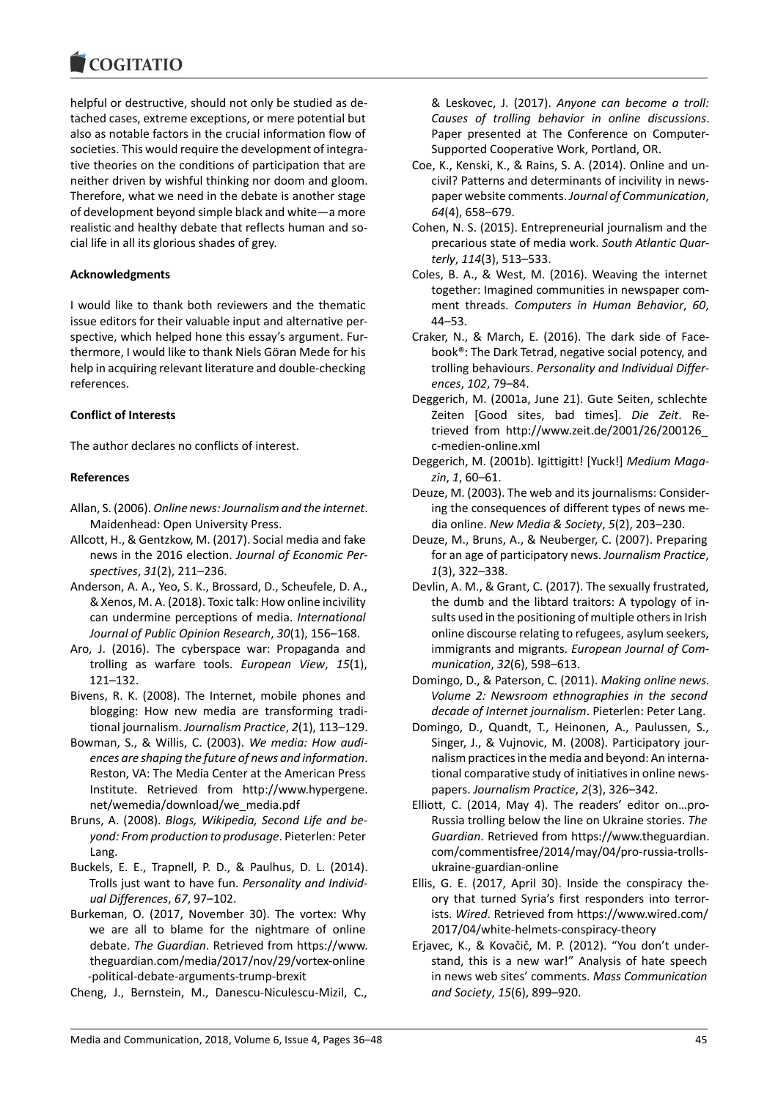### **COMMITMENT**

helpful or destructive, should not only be studied as detached cases, extreme exceptions, or mere potential but also as notable factors in the crucial information flow of societies. This would require the development of integrative theories on the conditions of participation that are neither driven by wishful thinking nor doom and gloom. Therefore, what we need in the debate is another stage of development beyond simple black and white—a more realistic and healthy debate that reflects human and social life in all its glorious shades of grey.

## **Acknowledgments**

I would like to thank both reviewers and the thematic issue editors for their valuable input and alternative perspective, which helped hone this essay's argument. Furthermore, I would like to thank Niels Göran Mede for his help in acquiring relevant literature and double-checking references.

## **Conflict of Interests**

The author declares no conflicts of interest.

## **References**

- Allan, S. (2006). *Online news: Journalism and the internet*. Maidenhead: Open University Press.
- Allcott, H., & Gentzkow, M. (2017). Social media and fake news in the 2016 election. *Journal of Economic Perspectives*, *31*(2), 211–236.
- Anderson, A. A., Yeo, S. K., Brossard, D., Scheufele, D. A., & Xenos, M. A. (2018). Toxic talk: How online incivility can undermine perceptions of media. *International Journal of Public Opinion Research*, *30*(1), 156–168.
- Aro, J. (2016). The cyberspace war: Propaganda and trolling as warfare tools. *European View*, *15*(1), 121–132.
- Bivens, R. K. (2008). The Internet, mobile phones and blogging: How new media are transforming traditional journalism. *Journalism Practice*, *2*(1), 113–129.
- Bowman, S., & Willis, C. (2003). *We media: How audiences are shaping the future of news and information*. Reston, VA: The Media Center at the American Press Institute. Retrieved from http://www.hypergene. net/wemedia/download/we\_media.pdf
- Bruns, A. (2008). *Blogs, Wikipedia, Second Life and beyond: From production to produsage*. Pieterlen: Peter Lang.
- Buckels, E. E., Trapnell, P. D., & Paulhus, D. L. (2014). Trolls just want to have fun. *Personality and Individual Differences*, *67*, 97–102.
- Burkeman, O. (2017, November 30). The vortex: Why we are all to blame for the nightmare of online debate. *The Guardian*. Retrieved from https://www. theguardian.com/media/2017/nov/29/vortex-online -political-debate-arguments-trump-brexit
- Cheng, J., Bernstein, M., Danescu-Niculescu-Mizil, C.,

& Leskovec, J. (2017). *Anyone can become a troll: Causes of trolling behavior in online discussions*. Paper presented at The Conference on Computer-Supported Cooperative Work, Portland, OR.

- Coe, K., Kenski, K., & Rains, S. A. (2014). Online and uncivil? Patterns and determinants of incivility in newspaper website comments. *Journal of Communication*, *64*(4), 658–679.
- Cohen, N. S. (2015). Entrepreneurial journalism and the precarious state of media work. *South Atlantic Quarterly*, *114*(3), 513–533.
- Coles, B. A., & West, M. (2016). Weaving the internet together: Imagined communities in newspaper comment threads. *Computers in Human Behavior*, *60*, 44–53.
- Craker, N., & March, E. (2016). The dark side of Facebook®: The Dark Tetrad, negative social potency, and trolling behaviours. *Personality and Individual Differences*, *102*, 79–84.
- Deggerich, M. (2001a, June 21). Gute Seiten, schlechte Zeiten [Good sites, bad times]. *Die Zeit*. Retrieved from http://www.zeit.de/2001/26/200126\_ c-medien-online.xml
- Deggerich, M. (2001b). Igittigitt! [Yuck!] *Medium Magazin*, *1*, 60–61.
- Deuze, M. (2003). The web and its journalisms: Considering the consequences of different types of news media online. *New Media & Society*, *5*(2), 203–230.
- Deuze, M., Bruns, A., & Neuberger, C. (2007). Preparing for an age of participatory news. *Journalism Practice*, *1*(3), 322–338.
- Devlin, A. M., & Grant, C. (2017). The sexually frustrated, the dumb and the libtard traitors: A typology of insults used in the positioning of multiple others in Irish online discourse relating to refugees, asylum seekers, immigrants and migrants. *European Journal of Communication*, *32*(6), 598–613.
- Domingo, D., & Paterson, C. (2011). *Making online news. Volume 2: Newsroom ethnographies in the second decade of Internet journalism*. Pieterlen: Peter Lang.
- Domingo, D., Quandt, T., Heinonen, A., Paulussen, S., Singer, J., & Vujnovic, M. (2008). Participatory journalism practices in the media and beyond: An international comparative study of initiatives in online newspapers. *Journalism Practice*, *2*(3), 326–342.
- Elliott, C. (2014, May 4). The readers' editor on…pro-Russia trolling below the line on Ukraine stories. *The Guardian*. Retrieved from https://www.theguardian. com/commentisfree/2014/may/04/pro-russia-trollsukraine-guardian-online
- Ellis, G. E. (2017, April 30). Inside the conspiracy theory that turned Syria's first responders into terrorists. *Wired*. Retrieved from https://www.wired.com/ 2017/04/white-helmets-conspiracy-theory
- Erjavec, K., & Kovačič, M. P. (2012). "You don't understand, this is a new war!" Analysis of hate speech in news web sites' comments. *Mass Communication and Society*, *15*(6), 899–920.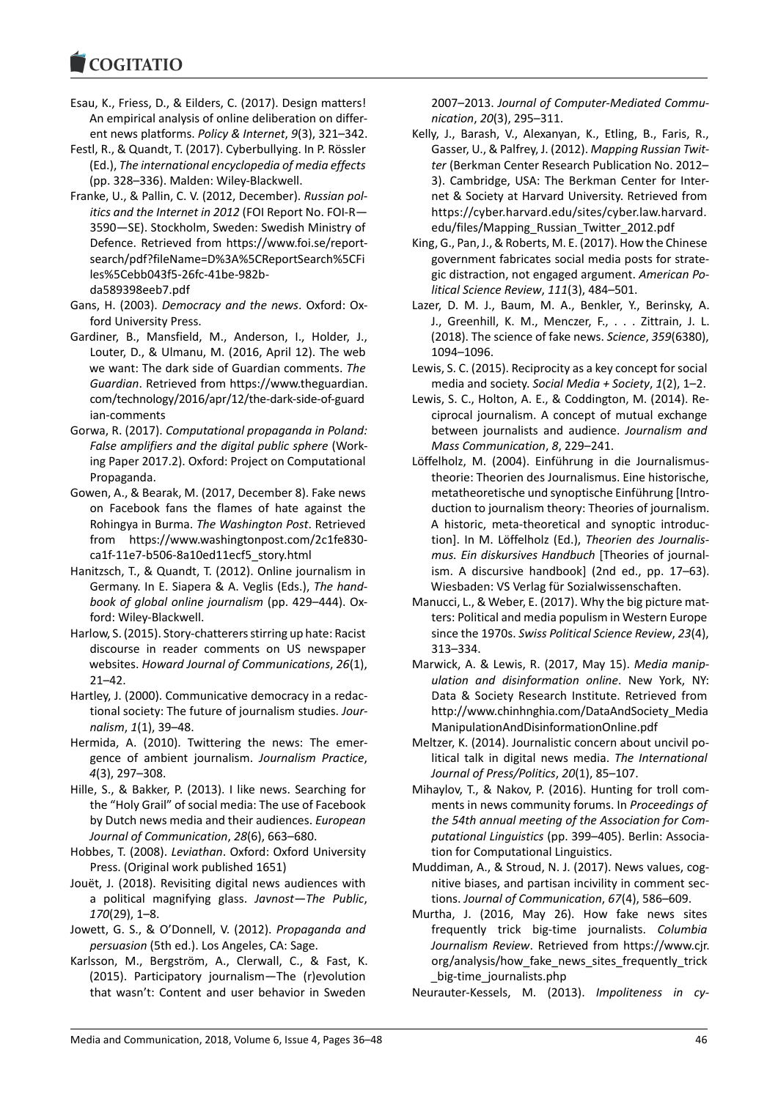#### **COMMITMENT**

- Esau, K., Friess, D., & Eilders, C. (2017). Design matters! An empirical analysis of online deliberation on different news platforms. *Policy & Internet*, *9*(3), 321–342.
- Festl, R., & Quandt, T. (2017). Cyberbullying. In P. Rössler (Ed.), *The international encyclopedia of media effects* (pp. 328–336). Malden: Wiley-Blackwell.
- Franke, U., & Pallin, C. V. (2012, December). *Russian politics and the Internet in 2012* (FOI Report No. FOI-R— 3590—SE). Stockholm, Sweden: Swedish Ministry of Defence. Retrieved from https://www.foi.se/reportsearch/pdf?fileName=D%3A%5CReportSearch%5CFi les%5Cebb043f5-26fc-41be-982bda589398eeb7.pdf
- Gans, H. (2003). *Democracy and the news*. Oxford: Oxford University Press.
- Gardiner, B., Mansfield, M., Anderson, I., Holder, J., Louter, D., & Ulmanu, M. (2016, April 12). The web we want: The dark side of Guardian comments. *The Guardian*. Retrieved from https://www.theguardian. com/technology/2016/apr/12/the-dark-side-of-guard ian-comments
- Gorwa, R. (2017). *Computational propaganda in Poland: False amplifiers and the digital public sphere* (Working Paper 2017.2). Oxford: Project on Computational Propaganda.
- Gowen, A., & Bearak, M. (2017, December 8). Fake news on Facebook fans the flames of hate against the Rohingya in Burma. *The Washington Post*. Retrieved from https://www.washingtonpost.com/2c1fe830 ca1f-11e7-b506-8a10ed11ecf5\_story.html
- Hanitzsch, T., & Quandt, T. (2012). Online journalism in Germany. In E. Siapera & A. Veglis (Eds.), *The handbook of global online journalism* (pp. 429–444). Oxford: Wiley-Blackwell.
- Harlow, S. (2015). Story-chatterers stirring up hate: Racist discourse in reader comments on US newspaper websites. *Howard Journal of Communications*, *26*(1), 21–42.
- Hartley, J. (2000). Communicative democracy in a redactional society: The future of journalism studies. *Journalism*, *1*(1), 39–48.
- Hermida, A. (2010). Twittering the news: The emergence of ambient journalism. *Journalism Practice*, *4*(3), 297–308.
- Hille, S., & Bakker, P. (2013). I like news. Searching for the "Holy Grail" of social media: The use of Facebook by Dutch news media and their audiences. *European Journal of Communication*, *28*(6), 663–680.
- Hobbes, T. (2008). *Leviathan*. Oxford: Oxford University Press. (Original work published 1651)
- Jouët, J. (2018). Revisiting digital news audiences with a political magnifying glass. *Javnost—The Public*, *170*(29), 1–8.
- Jowett, G. S., & O'Donnell, V. (2012). *Propaganda and persuasion* (5th ed.). Los Angeles, CA: Sage.
- Karlsson, M., Bergström, A., Clerwall, C., & Fast, K. (2015). Participatory journalism—The (r)evolution that wasn't: Content and user behavior in Sweden

2007–2013. *Journal of Computer-Mediated Communication*, *20*(3), 295–311.

- Kelly, J., Barash, V., Alexanyan, K., Etling, B., Faris, R., Gasser, U., & Palfrey, J. (2012). *Mapping Russian Twitter* (Berkman Center Research Publication No. 2012– 3). Cambridge, USA: The Berkman Center for Internet & Society at Harvard University. Retrieved from https://cyber.harvard.edu/sites/cyber.law.harvard. edu/files/Mapping\_Russian\_Twitter\_2012.pdf
- King, G., Pan, J., & Roberts, M. E. (2017). How the Chinese government fabricates social media posts for strategic distraction, not engaged argument. *American Political Science Review*, *111*(3), 484–501.
- Lazer, D. M. J., Baum, M. A., Benkler, Y., Berinsky, A. J., Greenhill, K. M., Menczer, F., . . . Zittrain, J. L. (2018). The science of fake news. *Science*, *359*(6380), 1094–1096.
- Lewis, S. C. (2015). Reciprocity as a key concept for social media and society. *Social Media + Society*, *1*(2), 1–2.
- Lewis, S. C., Holton, A. E., & Coddington, M. (2014). Reciprocal journalism. A concept of mutual exchange between journalists and audience. *Journalism and Mass Communication*, *8*, 229–241.
- Löffelholz, M. (2004). Einführung in die Journalismustheorie: Theorien des Journalismus. Eine historische, metatheoretische und synoptische Einführung [Introduction to journalism theory: Theories of journalism. A historic, meta-theoretical and synoptic introduction]. In M. Löffelholz (Ed.), *Theorien des Journalismus. Ein diskursives Handbuch* [Theories of journalism. A discursive handbook] (2nd ed., pp. 17–63). Wiesbaden: VS Verlag für Sozialwissenschaften.
- Manucci, L., & Weber, E. (2017). Why the big picture matters: Political and media populism in Western Europe since the 1970s. *Swiss Political Science Review*, *23*(4), 313–334.
- Marwick, A. & Lewis, R. (2017, May 15). *Media manipulation and disinformation online*. New York, NY: Data & Society Research Institute. Retrieved from http://www.chinhnghia.com/DataAndSociety\_Media ManipulationAndDisinformationOnline.pdf
- Meltzer, K. (2014). Journalistic concern about uncivil political talk in digital news media. *The International Journal of Press/Politics*, *20*(1), 85–107.
- Mihaylov, T., & Nakov, P. (2016). Hunting for troll comments in news community forums. In *Proceedings of the 54th annual meeting of the Association for Computational Linguistics* (pp. 399–405). Berlin: Association for Computational Linguistics.
- Muddiman, A., & Stroud, N. J. (2017). News values, cognitive biases, and partisan incivility in comment sections. *Journal of Communication*, *67*(4), 586–609.
- Murtha, J. (2016, May 26). How fake news sites frequently trick big-time journalists. *Columbia Journalism Review*. Retrieved from https://www.cjr. org/analysis/how fake news sites frequently trick \_big-time\_journalists.php

Neurauter-Kessels, M. (2013). *Impoliteness in cy-*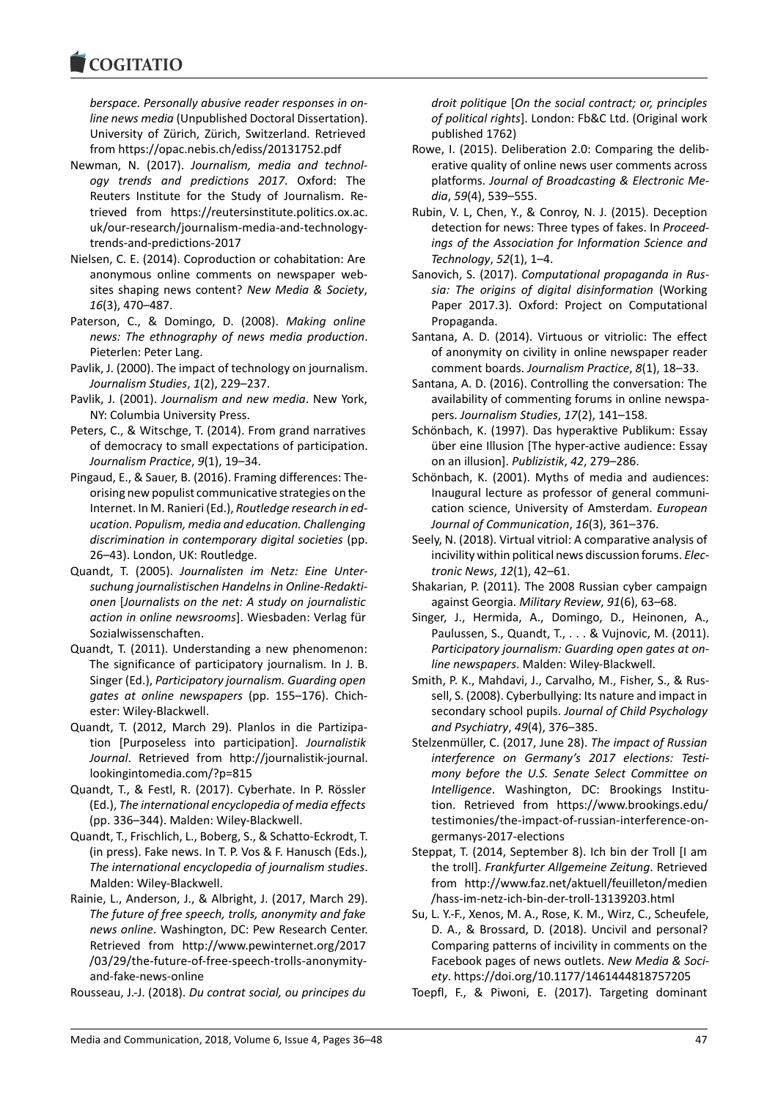### COMITATIO

*berspace. Personally abusive reader responses in online news media* (Unpublished Doctoral Dissertation). University of Zürich, Zürich, Switzerland. Retrieved from https://opac.nebis.ch/ediss/20131752.pdf

- Newman, N. (2017). *Journalism, media and technology trends and predictions 2017*. Oxford: The Reuters Institute for the Study of Journalism. Retrieved from https://reutersinstitute.politics.ox.ac. uk/our-research/journalism-media-and-technologytrends-and-predictions-2017
- Nielsen, C. E. (2014). Coproduction or cohabitation: Are anonymous online comments on newspaper websites shaping news content? *New Media & Society*, *16*(3), 470–487.
- Paterson, C., & Domingo, D. (2008). *Making online news: The ethnography of news media production*. Pieterlen: Peter Lang.
- Pavlik, J. (2000). The impact of technology on journalism. *Journalism Studies*, *1*(2), 229–237.
- Pavlik, J. (2001). *Journalism and new media*. New York, NY: Columbia University Press.
- Peters, C., & Witschge, T. (2014). From grand narratives of democracy to small expectations of participation. *Journalism Practice*, *9*(1), 19–34.
- Pingaud, E., & Sauer, B. (2016). Framing differences: Theorising new populist communicative strategies on the Internet. In M. Ranieri (Ed.), *Routledge research in education. Populism, media and education. Challenging discrimination in contemporary digital societies* (pp. 26–43). London, UK: Routledge.
- Quandt, T. (2005). *Journalisten im Netz: Eine Untersuchung journalistischen Handelns in Online-Redaktionen* [*Journalists on the net: A study on journalistic action in online newsrooms*]. Wiesbaden: Verlag für Sozialwissenschaften.
- Quandt, T. (2011). Understanding a new phenomenon: The significance of participatory journalism. In J. B. Singer (Ed.), *Participatory journalism. Guarding open gates at online newspapers* (pp. 155–176). Chichester: Wiley-Blackwell.
- Quandt, T. (2012, March 29). Planlos in die Partizipation [Purposeless into participation]. *Journalistik Journal*. Retrieved from http://journalistik-journal. lookingintomedia.com/?p=815
- Quandt, T., & Festl, R. (2017). Cyberhate. In P. Rössler (Ed.), *The international encyclopedia of media effects* (pp. 336–344). Malden: Wiley-Blackwell.
- Quandt, T., Frischlich, L., Boberg, S., & Schatto-Eckrodt, T. (in press). Fake news. In T. P. Vos & F. Hanusch (Eds.), *The international encyclopedia of journalism studies*. Malden: Wiley-Blackwell.
- Rainie, L., Anderson, J., & Albright, J. (2017, March 29). *The future of free speech, trolls, anonymity and fake news online*. Washington, DC: Pew Research Center. Retrieved from http://www.pewinternet.org/2017 /03/29/the-future-of-free-speech-trolls-anonymityand-fake-news-online

Rousseau, J.-J. (2018). *Du contrat social, ou principes du*

*droit politique* [*On the social contract; or, principles of political rights*]. London: Fb&C Ltd. (Original work published 1762)

- Rowe, I. (2015). Deliberation 2.0: Comparing the deliberative quality of online news user comments across platforms. *Journal of Broadcasting & Electronic Media*, *59*(4), 539–555.
- Rubin, V. L, Chen, Y., & Conroy, N. J. (2015). Deception detection for news: Three types of fakes. In *Proceedings of the Association for Information Science and Technology*, *52*(1), 1–4.
- Sanovich, S. (2017). *Computational propaganda in Russia: The origins of digital disinformation* (Working Paper 2017.3). Oxford: Project on Computational Propaganda.
- Santana, A. D. (2014). Virtuous or vitriolic: The effect of anonymity on civility in online newspaper reader comment boards. *Journalism Practice*, *8*(1), 18–33.
- Santana, A. D. (2016). Controlling the conversation: The availability of commenting forums in online newspapers. *Journalism Studies*, *17*(2), 141–158.
- Schönbach, K. (1997). Das hyperaktive Publikum: Essay über eine Illusion [The hyper-active audience: Essay on an illusion]. *Publizistik*, *42*, 279–286.
- Schönbach, K. (2001). Myths of media and audiences: Inaugural lecture as professor of general communication science, University of Amsterdam. *European Journal of Communication*, *16*(3), 361–376.
- Seely, N. (2018). Virtual vitriol: A comparative analysis of incivility within political news discussion forums. *Electronic News*, *12*(1), 42–61.
- Shakarian, P. (2011). The 2008 Russian cyber campaign against Georgia. *Military Review*, *91*(6), 63–68.
- Singer, J., Hermida, A., Domingo, D., Heinonen, A., Paulussen, S., Quandt, T., . . . & Vujnovic, M. (2011). *Participatory journalism: Guarding open gates at online newspapers*. Malden: Wiley-Blackwell.
- Smith, P. K., Mahdavi, J., Carvalho, M., Fisher, S., & Russell, S. (2008). Cyberbullying: Its nature and impact in secondary school pupils. *Journal of Child Psychology and Psychiatry*, *49*(4), 376–385.
- Stelzenmüller, C. (2017, June 28). *The impact of Russian interference on Germany's 2017 elections: Testimony before the U.S. Senate Select Committee on Intelligence*. Washington, DC: Brookings Institution. Retrieved from https://www.brookings.edu/ testimonies/the-impact-of-russian-interference-ongermanys-2017-elections
- Steppat, T. (2014, September 8). Ich bin der Troll [I am the troll]. *Frankfurter Allgemeine Zeitung*. Retrieved from http://www.faz.net/aktuell/feuilleton/medien /hass-im-netz-ich-bin-der-troll-13139203.html
- Su, L. Y.-F., Xenos, M. A., Rose, K. M., Wirz, C., Scheufele, D. A., & Brossard, D. (2018). Uncivil and personal? Comparing patterns of incivility in comments on the Facebook pages of news outlets. *New Media & Society*. https://doi.org/10.1177/1461444818757205
- Toepfl, F., & Piwoni, E. (2017). Targeting dominant